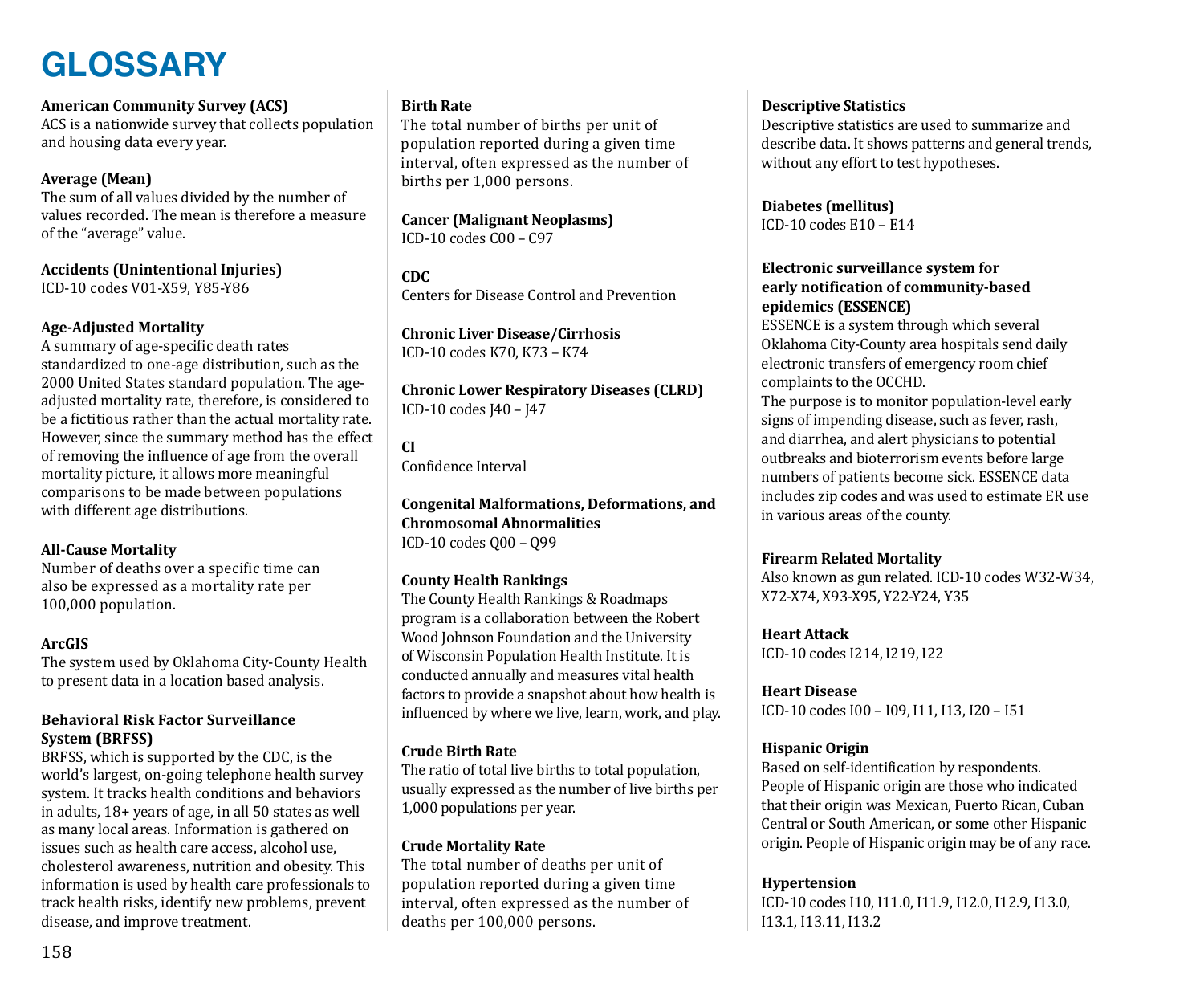# **GLOSSARY**

# **American Community Survey (ACS)**

ACS is a nationwide survey that collects population and housing data every year.

# **Average (Mean)**

The sum of all values divided by the number of values recorded. The mean is therefore a measure of the "average" value.

**Accidents (Unintentional Injuries)** ICD-10 codes V01-X59, Y85-Y86

## **Age-Adjusted Mortality**

A summary of age-specific death rates standardized to one-age distribution, such as the 2000 United States standard population. The ageadjusted mortality rate, therefore, is considered to be a fictitious rather than the actual mortality rate. However, since the summary method has the effect of removing the influence of age from the overall mortality picture, it allows more meaningful comparisons to be made between populations with different age distributions.

# **All-Cause Mortality**

Number of deaths over a specific time can also be expressed as a mortality rate per 100,000 population.

#### **ArcGIS**

The system used by Oklahoma City-County Health to present data in a location based analysis.

## **Behavioral Risk Factor Surveillance System (BRFSS)**

BRFSS, which is supported by the CDC, is the world's largest, on-going telephone health survey system. It tracks health conditions and behaviors in adults, 18+ years of age, in all 50 states as well as many local areas. Information is gathered on issues such as health care access, alcohol use, cholesterol awareness, nutrition and obesity. This information is used by health care professionals to track health risks, identify new problems, prevent disease, and improve treatment.

# **Birth Rate**

The total number of births per unit of population reported during a given time interval, often expressed as the number of births per 1,000 persons.

#### **Cancer (Malignant Neoplasms)** ICD-10 codes C00 – C97

**CDC** Centers for Disease Control and Prevention

# **Chronic Liver Disease/Cirrhosis** ICD-10 codes K70, K73 – K74

**Chronic Lower Respiratory Diseases (CLRD)** ICD-10 codes J40 – J47

**CI**

Confidence Interval

#### **Congenital Malformations, Deformations, and Chromosomal Abnormalities** ICD-10 codes Q00 – Q99

# **County Health Rankings**

The County Health Rankings & Roadmaps program is a collaboration between the Robert Wood Johnson Foundation and the University of Wisconsin Population Health Institute. It is conducted annually and measures vital health factors to provide a snapshot about how health is influenced by where we live, learn, work, and play.

# **Crude Birth Rate**

The ratio of total live births to total population, usually expressed as the number of live births per 1,000 populations per year.

# **Crude Mortality Rate**

The total number of deaths per unit of population reported during a given time interval, often expressed as the number of deaths per 100,000 persons.

## **Descriptive Statistics**

Descriptive statistics are used to summarize and describe data. It shows patterns and general trends, without any effort to test hypotheses.

**Diabetes (mellitus)** ICD-10 codes E10 – E14

## **Electronic surveillance system for early notification of community-based epidemics (ESSENCE)**

ESSENCE is a system through which several Oklahoma City-County area hospitals send daily electronic transfers of emergency room chief complaints to the OCCHD.

The purpose is to monitor population-level early signs of impending disease, such as fever, rash, and diarrhea, and alert physicians to potential outbreaks and bioterrorism events before large numbers of patients become sick. ESSENCE data includes zip codes and was used to estimate ER use in various areas of the county.

# **Firearm Related Mortality**

Also known as gun related. ICD-10 codes W32-W34, X72-X74, X93-X95, Y22-Y24, Y35

# **Heart Attack**

ICD-10 codes I214, I219, I22

# **Heart Disease**

ICD-10 codes I00 – I09, I11, I13, I20 – I51

# **Hispanic Origin**

Based on self-identification by respondents. People of Hispanic origin are those who indicated that their origin was Mexican, Puerto Rican, Cuban Central or South American, or some other Hispanic origin. People of Hispanic origin may be of any race.

# **Hypertension**

ICD-10 codes I10, I11.0, I11.9, I12.0, I12.9, I13.0, I13.1, I13.11, I13.2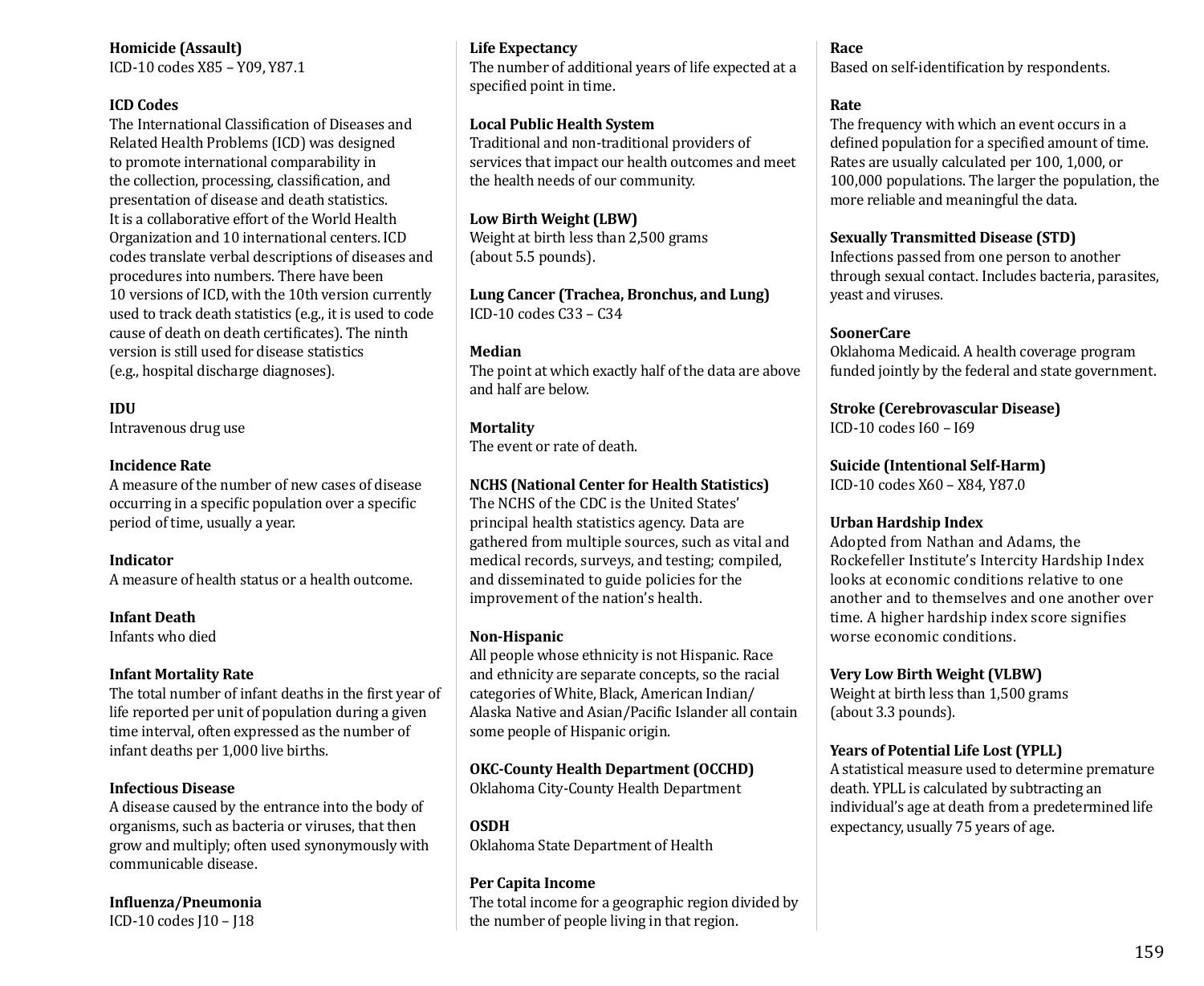**Homicide (Assault)** ICD-10 codes X85 – Y09, Y87.1

#### **ICD Codes**

The International Classification of Diseases and Related Health Problems (ICD) was designed to promote international comparability in the collection, processing, classification, and presentation of disease and death statistics. It is a collaborative effort of the World Health Organization and 10 international centers. ICD codes translate verbal descriptions of diseases and procedures into numbers. There have been 10 versions of ICD, with the 10th version currently used to track death statistics (e.g., it is used to code cause of death on death certificates). The ninth version is still used for disease statistics (e.g., hospital discharge diagnoses).

**IDU**

Intravenous drug use

#### **Incidence Rate**

A measure of the number of new cases of disease occurring in a specific population over a specific period of time, usually a year.

#### **Indicator**

A measure of health status or a health outcome.

**Infant Death** Infants who died

#### **Infant Mortality Rate**

The total number of infant deaths in the first year of life reported per unit of population during a given time interval, often expressed as the number of infant deaths per 1,000 live births.

#### **Infectious Disease**

A disease caused by the entrance into the body of organisms, such as bacteria or viruses, that then grow and multiply; often used synonymously with communicable disease.

**Influenza/Pneumonia**

ICD-10 codes J10 – J18

#### **Life Expectancy**

The number of additional years of life expected at a specified point in time.

#### **Local Public Health System**

Traditional and non-traditional providers of services that impact our health outcomes and meet the health needs of our community.

**Low Birth Weight (LBW)** Weight at birth less than 2,500 grams (about 5.5 pounds).

**Lung Cancer (Trachea, Bronchus, and Lung)** ICD-10 codes C33 – C34

#### **Median**

The point at which exactly half of the data are above and half are below.

#### **Mortality**

The event or rate of death.

#### **NCHS (National Center for Health Statistics)**

The NCHS of the CDC is the United States' principal health statistics agency. Data are gathered from multiple sources, such as vital and medical records, surveys, and testing; compiled, and disseminated to guide policies for the improvement of the nation's health.

#### **Non-Hispanic**

All people whose ethnicity is not Hispanic. Race and ethnicity are separate concepts, so the racial categories of White, Black, American Indian/ Alaska Native and Asian/Pacific Islander all contain some people of Hispanic origin.

# **OKC-County Health Department (OCCHD)**

Oklahoma City-County Health Department

#### **OSDH** Oklahoma State Department of Health

#### **Per Capita Income**

The total income for a geographic region divided by the number of people living in that region.

# **Race**

Based on self-identification by respondents.

## **Rate**

The frequency with which an event occurs in a defined population for a specified amount of time. Rates are usually calculated per 100, 1,000, or 100,000 populations. The larger the population, the more reliable and meaningful the data.

#### **Sexually Transmitted Disease (STD)**

Infections passed from one person to another through sexual contact. Includes bacteria, parasites, yeast and viruses.

#### **SoonerCare**

Oklahoma Medicaid. A health coverage program funded jointly by the federal and state government.

**Stroke (Cerebrovascular Disease)**

ICD-10 codes I60 – I69

**Suicide (Intentional Self-Harm)**

ICD-10 codes X60 – X84, Y87.0

#### **Urban Hardship Index**

Adopted from Nathan and Adams, the Rockefeller Institute's Intercity Hardship Index looks at economic conditions relative to one another and to themselves and one another over time. A higher hardship index score signifies worse economic conditions.

#### **Very Low Birth Weight (VLBW)**

Weight at birth less than 1,500 grams (about 3.3 pounds).

# **Years of Potential Life Lost (YPLL)**

A statistical measure used to determine premature death. YPLL is calculated by subtracting an individual's age at death from a predetermined life expectancy, usually 75 years of age.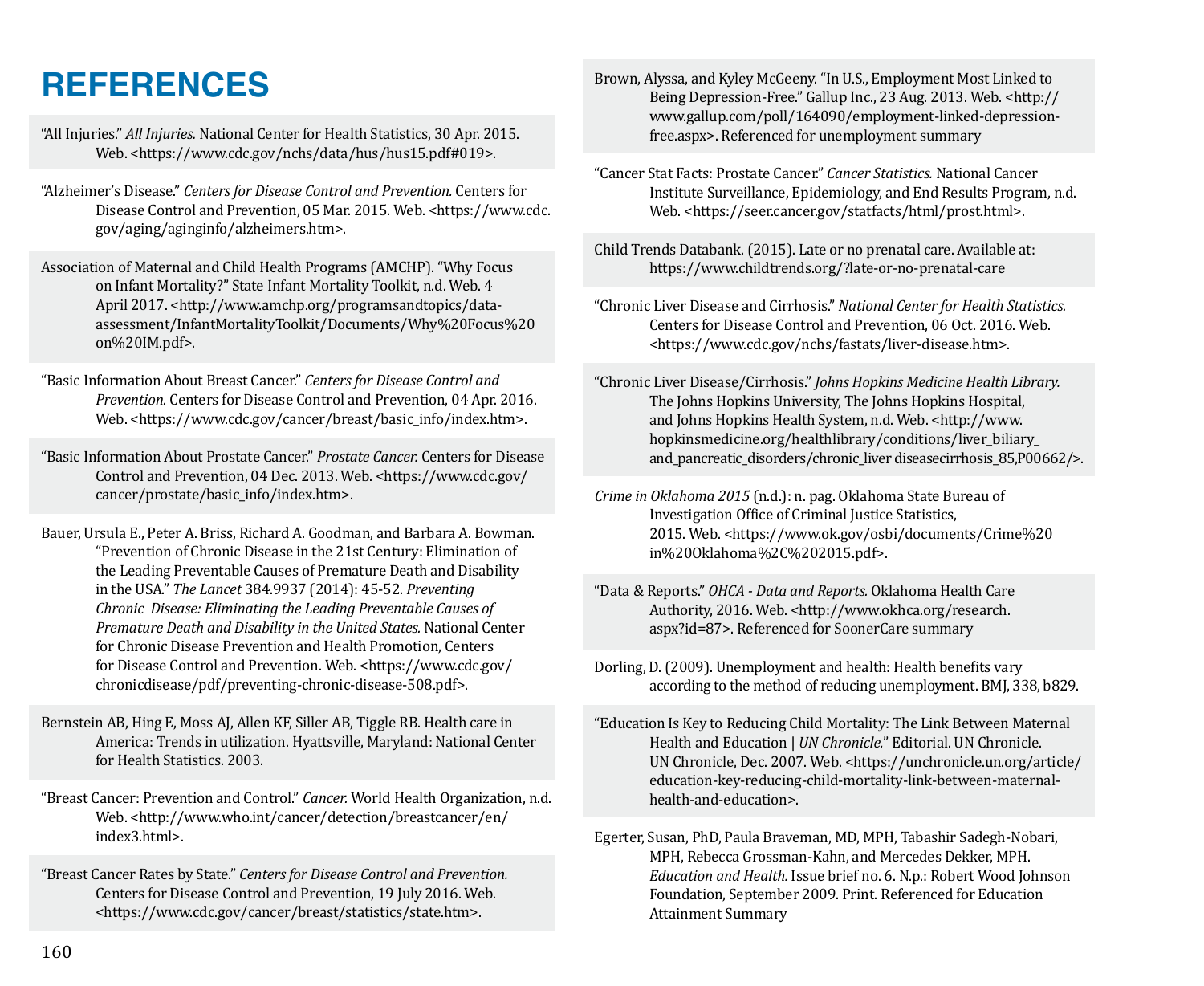# **REFERENCES**

"All Injuries." *All Injuries.* National Center for Health Statistics, 30 Apr. 2015. Web. <https://www.cdc.gov/nchs/data/hus/hus15.pdf#019>.

"Alzheimer's Disease." *Centers for Disease Control and Prevention.* Centers for Disease Control and Prevention, 05 Mar. 2015. Web. <https://www.cdc. gov/aging/aginginfo/alzheimers.htm>.

Association of Maternal and Child Health Programs (AMCHP). "Why Focus on Infant Mortality?" State Infant Mortality Toolkit, n.d. Web. 4 April 2017. <http://www.amchp.org/programsandtopics/dataassessment/InfantMortalityToolkit/Documents/Why%20Focus%20 on%20IM.pdf>.

"Basic Information About Breast Cancer." *Centers for Disease Control and Prevention.* Centers for Disease Control and Prevention, 04 Apr. 2016. Web. <https://www.cdc.gov/cancer/breast/basic\_info/index.htm>.

"Basic Information About Prostate Cancer." *Prostate Cancer.* Centers for Disease Control and Prevention, 04 Dec. 2013. Web. <https://www.cdc.gov/ cancer/prostate/basic\_info/index.htm>.

Bauer, Ursula E., Peter A. Briss, Richard A. Goodman, and Barbara A. Bowman. "Prevention of Chronic Disease in the 21st Century: Elimination of the Leading Preventable Causes of Premature Death and Disability in the USA." *The Lancet* 384.9937 (2014): 45-52. *Preventing Chronic Disease: Eliminating the Leading Preventable Causes of Premature Death and Disability in the United States.* National Center for Chronic Disease Prevention and Health Promotion, Centers for Disease Control and Prevention. Web. <https://www.cdc.gov/ chronicdisease/pdf/preventing-chronic-disease-508.pdf>.

Bernstein AB, Hing E, Moss AJ, Allen KF, Siller AB, Tiggle RB. Health care in America: Trends in utilization. Hyattsville, Maryland: National Center for Health Statistics. 2003.

"Breast Cancer: Prevention and Control." *Cancer.* World Health Organization, n.d. Web. <http://www.who.int/cancer/detection/breastcancer/en/ index3.html>.

"Breast Cancer Rates by State." *Centers for Disease Control and Prevention.* Centers for Disease Control and Prevention, 19 July 2016. Web. <https://www.cdc.gov/cancer/breast/statistics/state.htm>.

Brown, Alyssa, and Kyley McGeeny. "In U.S., Employment Most Linked to Being Depression-Free." Gallup Inc., 23 Aug. 2013. Web. <http:// www.gallup.com/poll/164090/employment-linked-depressionfree.aspx>. Referenced for unemployment summary

- "Cancer Stat Facts: Prostate Cancer." *Cancer Statistics.* National Cancer Institute Surveillance, Epidemiology, and End Results Program, n.d. Web. <https://seer.cancer.gov/statfacts/html/prost.html>.
- Child Trends Databank. (2015). Late or no prenatal care. Available at: https://www.childtrends.org/?late-or-no-prenatal-care
- "Chronic Liver Disease and Cirrhosis." *National Center for Health Statistics.* Centers for Disease Control and Prevention, 06 Oct. 2016. Web. <https://www.cdc.gov/nchs/fastats/liver-disease.htm>.

"Chronic Liver Disease/Cirrhosis." *Johns Hopkins Medicine Health Library.*  The Johns Hopkins University, The Johns Hopkins Hospital, and Johns Hopkins Health System, n.d. Web. <http://www. hopkinsmedicine.org/healthlibrary/conditions/liver\_biliary and pancreatic disorders/chronic liver diseasecirrhosis 85,P00662/>.

- *Crime in Oklahoma 2015* (n.d.): n. pag. Oklahoma State Bureau of Investigation Office of Criminal Justice Statistics, 2015. Web. <https://www.ok.gov/osbi/documents/Crime%20 in%20Oklahoma%2C%202015.pdf>.
- "Data & Reports." *OHCA Data and Reports.* Oklahoma Health Care Authority, 2016. Web. <http://www.okhca.org/research. aspx?id=87>. Referenced for SoonerCare summary
- Dorling, D. (2009). Unemployment and health: Health benefits vary according to the method of reducing unemployment. BMJ, 338, b829.
- "Education Is Key to Reducing Child Mortality: The Link Between Maternal Health and Education | *UN Chronicle.*" Editorial. UN Chronicle. UN Chronicle, Dec. 2007. Web. <https://unchronicle.un.org/article/ education-key-reducing-child-mortality-link-between-maternalhealth-and-education>.
- Egerter, Susan, PhD, Paula Braveman, MD, MPH, Tabashir Sadegh-Nobari, MPH, Rebecca Grossman-Kahn, and Mercedes Dekker, MPH. *Education and Health.* Issue brief no. 6. N.p.: Robert Wood Johnson Foundation, September 2009. Print. Referenced for Education Attainment Summary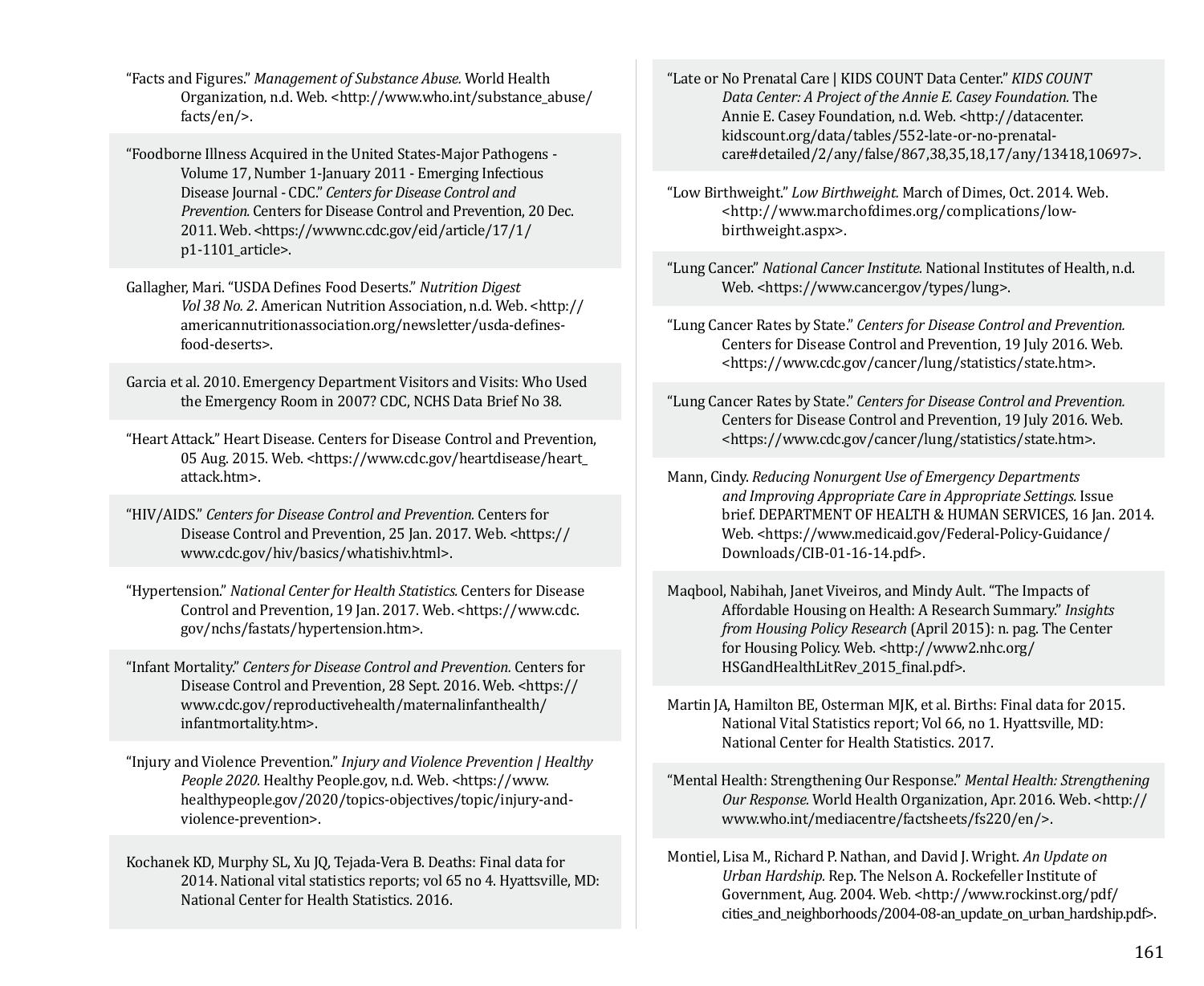"Facts and Figures." *Management of Substance Abuse.* World Health Organization, n.d. Web. <http://www.who.int/substance\_abuse/ facts/en/>.

"Foodborne Illness Acquired in the United States-Major Pathogens - Volume 17, Number 1-January 2011 - Emerging Infectious Disease Journal - CDC." *Centers for Disease Control and Prevention.* Centers for Disease Control and Prevention, 20 Dec. 2011. Web. <https://wwwnc.cdc.gov/eid/article/17/1/ p1-1101\_article>.

Gallagher, Mari. "USDA Defines Food Deserts." *Nutrition Digest Vol 38 No. 2*. American Nutrition Association, n.d. Web. <http:// americannutritionassociation.org/newsletter/usda-definesfood-deserts>.

Garcia et al. 2010. Emergency Department Visitors and Visits: Who Used the Emergency Room in 2007? CDC, NCHS Data Brief No 38.

"Heart Attack." Heart Disease. Centers for Disease Control and Prevention, 05 Aug. 2015. Web. <https://www.cdc.gov/heartdisease/heart\_ attack.htm>.

"HIV/AIDS." *Centers for Disease Control and Prevention.* Centers for Disease Control and Prevention, 25 Jan. 2017. Web. <https:// www.cdc.gov/hiv/basics/whatishiv.html>.

"Hypertension." *National Center for Health Statistics.* Centers for Disease Control and Prevention, 19 Jan. 2017. Web. <https://www.cdc. gov/nchs/fastats/hypertension.htm>.

"Infant Mortality." *Centers for Disease Control and Prevention.* Centers for Disease Control and Prevention, 28 Sept. 2016. Web. <https:// www.cdc.gov/reproductivehealth/maternalinfanthealth/ infantmortality.htm>.

"Injury and Violence Prevention." *Injury and Violence Prevention | Healthy*  People 2020. Healthy People.gov, n.d. Web. <https://www. healthypeople.gov/2020/topics-objectives/topic/injury-andviolence-prevention>.

Kochanek KD, Murphy SL, Xu JQ, Tejada-Vera B. Deaths: Final data for 2014. National vital statistics reports; vol 65 no 4. Hyattsville, MD: National Center for Health Statistics. 2016.

"Late or No Prenatal Care | KIDS COUNT Data Center." *KIDS COUNT Data Center: A Project of the Annie E. Casey Foundation.* The Annie E. Casey Foundation, n.d. Web. <http://datacenter. kidscount.org/data/tables/552-late-or-no-prenatalcare#detailed/2/any/false/867,38,35,18,17/any/13418,10697>.

"Low Birthweight." *Low Birthweight.* March of Dimes, Oct. 2014. Web. <http://www.marchofdimes.org/complications/lowbirthweight.aspx>.

"Lung Cancer." *National Cancer Institute.* National Institutes of Health, n.d. Web. <https://www.cancer.gov/types/lung>.

"Lung Cancer Rates by State." *Centers for Disease Control and Prevention.*  Centers for Disease Control and Prevention, 19 July 2016. Web. <https://www.cdc.gov/cancer/lung/statistics/state.htm>.

"Lung Cancer Rates by State." *Centers for Disease Control and Prevention.*  Centers for Disease Control and Prevention, 19 July 2016. Web. <https://www.cdc.gov/cancer/lung/statistics/state.htm>.

Mann, Cindy. *Reducing Nonurgent Use of Emergency Departments and Improving Appropriate Care in Appropriate Settings.* Issue brief. DEPARTMENT OF HEALTH & HUMAN SERVICES, 16 Jan. 2014. Web. <https://www.medicaid.gov/Federal-Policy-Guidance/ Downloads/CIB-01-16-14.pdf>.

Maqbool, Nabihah, Janet Viveiros, and Mindy Ault. "The Impacts of Affordable Housing on Health: A Research Summary." *Insights from Housing Policy Research* (April 2015): n. pag. The Center for Housing Policy. Web. <http://www2.nhc.org/ HSGandHealthLitRev\_2015\_final.pdf>.

Martin JA, Hamilton BE, Osterman MJK, et al. Births: Final data for 2015. National Vital Statistics report; Vol 66, no 1. Hyattsville, MD: National Center for Health Statistics. 2017.

"Mental Health: Strengthening Our Response." *Mental Health: Strengthening Our Response.* World Health Organization, Apr. 2016. Web. <http:// www.who.int/mediacentre/factsheets/fs220/en/>.

Montiel, Lisa M., Richard P. Nathan, and David J. Wright. *An Update on Urban Hardship.* Rep. The Nelson A. Rockefeller Institute of Government, Aug. 2004. Web. <http://www.rockinst.org/pdf/ cities\_and\_neighborhoods/2004-08-an\_update\_on\_urban\_hardship.pdf>.